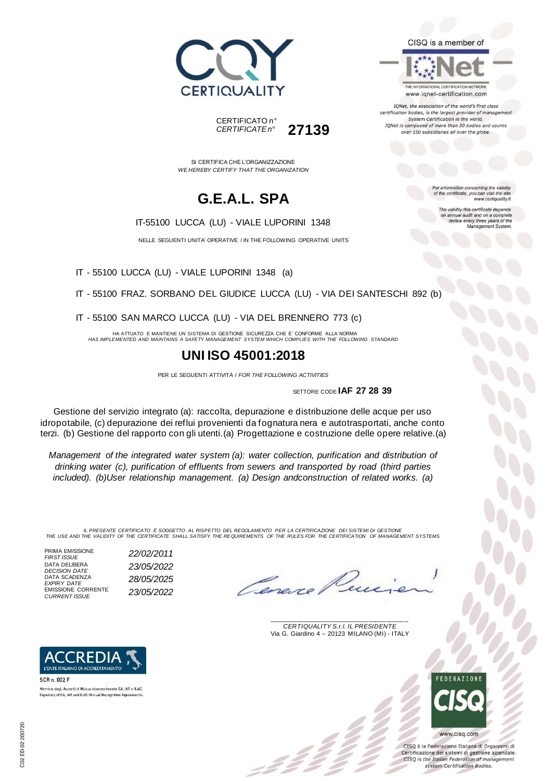



SI CERTIFICA CHE L'ORGANIZZAZIONE *WE HEREBY CERTIFY THAT THE ORGANIZATION*

## **G.E.A.L. SPA**

#### IT-55100 LUCCA (LU) - VIALE LUPORINI 1348

NELLE SEGUENTI UNITA' OPERATIVE / IN THE FOLLOWING OPERATIVE UNITS

IT - 55100 LUCCA (LU) - VIALE LUPORINI 1348 (a)

IT - 55100 FRAZ. SORBANO DEL GIUDICE LUCCA (LU) - VIA DEI SANTESCHI 892 (b)

IT - 55100 SAN MARCO LUCCA (LU) - VIA DEL BRENNERO 773 (c)

HA ATTUATO E MANTIENE UN SISTEMA DI GESTIONE SICUREZZA CHE E' CONFORME ALLA NORMA *HAS IMPLEMENTED AND MAINTAINS A SAFETY MANAGEMENT SYSTEM WHICH COMPLIES WITH THE FOLLOWING STANDARD*

### **UNI ISO 45001:2018**

PER LE SEGUENTI ATTIVITÀ / *FOR THE FOLLOWING ACTIVITIES*

SETTORE CODE **IAF 27 28 39**

Gestione del servizio integrato (a): raccolta, depurazione e distribuzione delle acque per uso idropotabile, (c) depurazione dei reflui provenienti da fognatura nera e autotrasportati, anche conto terzi. (b) Gestione del rapporto con gli utenti.(a) Progettazione e costruzione delle opere relative.(a)

*Management of the integrated water system (a): water collection, purification and distribution of drinking water (c), purification of effluents from sewers and transported by road (third parties included). (b)User relationship management. (a) Design andconstruction of related works. (a)*

IL PRESENTE CERTIFICATO E SOGGETTO AL RISPETTO DEL REGOLAMENTO PER LA CERTIFICAZIONE DEI SISTEMI DI GESTIONE<br>THE USE AND THE VALIDITY OF THE CERTIFICATE SHALL SATISFY THE REQUIREMENTS OF THE RULES FOR THE CERTIFICATION OF

PRIMA EMISSIONE<br>FIRST ISSUE DATA DELIBERA<br>DECISION DATE DATA SCADENZA *EXPIRY DATE 28/05/2025* EMISSIONE CORRENTE *CURRENT ISSUE 23/05/2022*

**CREDI** L'ENTE ITALIANO DI ACCREDITAMENTO

Membro degli Accordi di Mutuo riconoscimento EA, IAF e ILAC. Signatory of EA, IAF and ILAC Mutual Recognition Agreements.

AC

SCR n. 002 F

*FIRST ISSUE 22/02/2011 DECISION DATE 23/05/2022*

Casa

\_\_\_\_\_\_\_\_\_\_\_\_\_\_\_\_\_\_\_\_\_\_\_\_\_\_\_\_\_\_\_\_\_\_\_\_\_\_\_ *CERTIQUALITY S.r.l. IL PRESIDENTE* Via G. Giardino 4 – 20123 MILANO (MI) - ITALY



CISO è la Federazione Italiana di Organismi di Certificazione dei sistemi di gestione aziendale. CISQ is the Italian Federation of management system Certification Bodies.



For information concerning the validity<br>of the certificate, you can visit the site www.certiquality.it

The validity this certificate depends on annual audit and on a complete<br>review every three years of the<br>Management System.

CISQ is a member of

THE INTERNATIONAL CERTIFICATION NETWORK

www.iqnet-certification.com IQNet, the association of the world's first class certification bodies, is the largest provider of management System Certification in the world. IQNet is composed of more than 30 bodies and counts over 150 subsidiaries all over the globe.